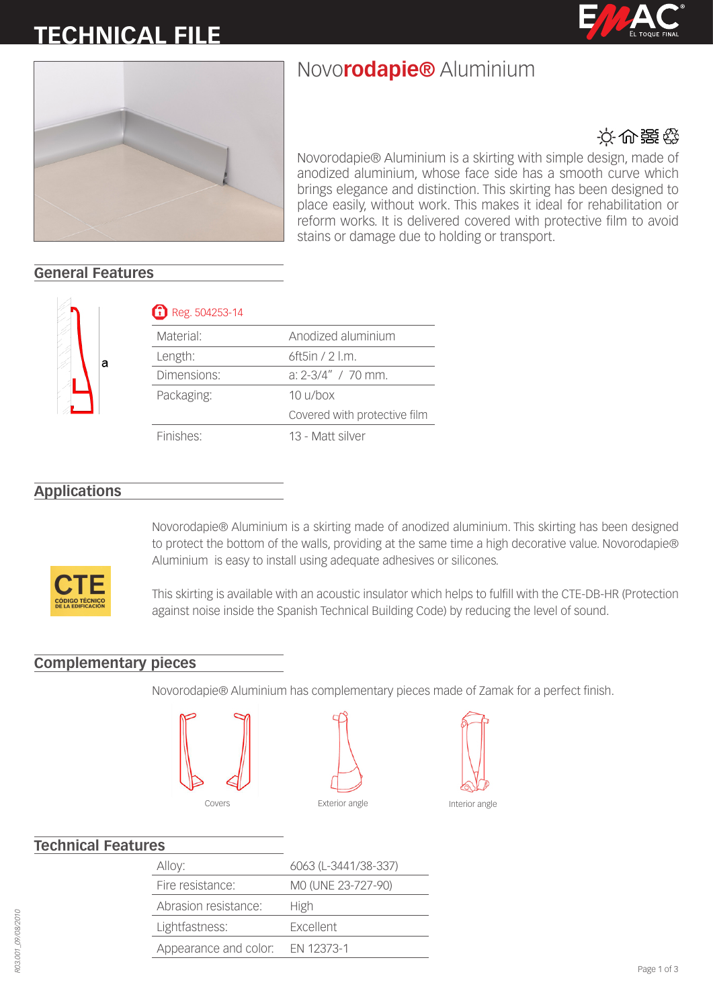# **TECHNICAL FILE**





## Novo**rodapie®** Aluminium



Novorodapie® Aluminium is a skirting with simple design, made of anodized aluminium, whose face side has a smooth curve which brings elegance and distinction. This skirting has been designed to place easily, without work. This makes it ideal for rehabilitation or reform works. It is delivered covered with protective film to avoid stains or damage due to holding or transport.

### **General Features**



### Reg. 504253-14

| Material:   | Anodized aluminium           |
|-------------|------------------------------|
| Length:     | 6ft5in / 2 l.m.              |
| Dimensions: | $a: 2-3/4"$ / 70 mm.         |
| Packaging:  | $10 \frac{\mu}{\text{h}}$    |
|             | Covered with protective film |
| Finishes:   | 13 - Matt silver             |

### **Applications**



Novorodapie® Aluminium is a skirting made of anodized aluminium. This skirting has been designed to protect the bottom of the walls, providing at the same time a high decorative value. Novorodapie® Aluminium is easy to install using adequate adhesives or silicones.

This skirting is available with an acoustic insulator which helps to fulfill with the CTE-DB-HR (Protection against noise inside the Spanish Technical Building Code) by reducing the level of sound.

#### **Complementary pieces**

Novorodapie® Aluminium has complementary pieces made of Zamak for a perfect finish.







### **Technical Features**

| 6063 (L-3441/38-337) |
|----------------------|
| MO (UNE 23-727-90)   |
|                      |
|                      |
|                      |
|                      |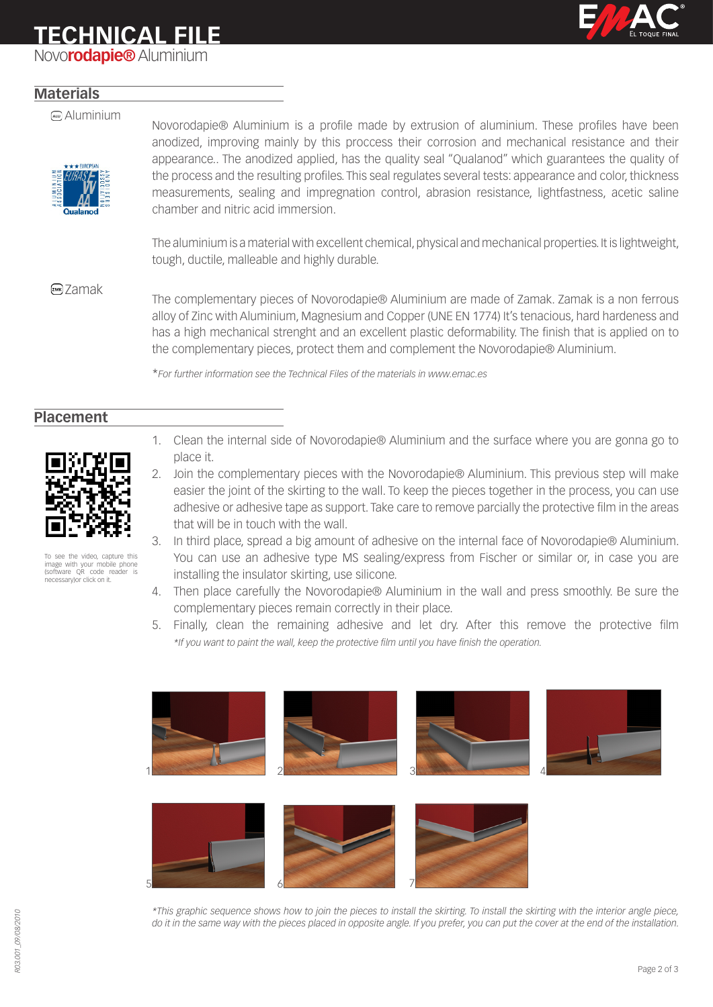### **TECHNICAL FILE**

Novo**rodapie®** Aluminium



### **Materials**

#### Aluminium



Novorodapie® Aluminium is a profile made by extrusion of aluminium. These profiles have been anodized, improving mainly by this proccess their corrosion and mechanical resistance and their appearance.. The anodized applied, has the quality seal "Qualanod" which guarantees the quality of the process and the resulting profiles. This seal regulates several tests: appearance and color, thickness measurements, sealing and impregnation control, abrasion resistance, lightfastness, acetic saline chamber and nitric acid immersion.

The aluminium is a material with excellent chemical, physical and mechanical properties. It is lightweight, tough, ductile, malleable and highly durable.

Zamak The complementary pieces of Novorodapie® Aluminium are made of Zamak. Zamak is a non ferrous alloy of Zinc with Aluminium, Magnesium and Copper (UNE EN 1774) It's tenacious, hard hardeness and has a high mechanical strenght and an excellent plastic deformability. The finish that is applied on to the complementary pieces, protect them and complement the Novorodapie® Aluminium.

\**For further information see the Technical Files of the materials in www.emac.es*

### **Placement**



the video, capture this image with your mobile phone (software QR code reader is necessary)or click on it.

- 1. Clean the internal side of Novorodapie® Aluminium and the surface where you are gonna go to place it.
- 2. Join the complementary pieces with the Novorodapie® Aluminium. This previous step will make easier the joint of the skirting to the wall. To keep the pieces together in the process, you can use adhesive or adhesive tape as support. Take care to remove parcially the protective film in the areas that will be in touch with the wall.
- 3. In third place, spread a big amount of adhesive on the internal face of Novorodapie® Aluminium. You can use an adhesive type MS sealing/express from Fischer or similar or, in case you are installing the insulator skirting, use silicone.
- 4. Then place carefully the Novorodapie® Aluminium in the wall and press smoothly. Be sure the complementary pieces remain correctly in their place.
- 5. Finally, clean the remaining adhesive and let dry. After this remove the protective film *\*If you want to paint the wall, keep the protective film until you have finish the operation.*



*\*This graphic sequence shows how to join the pieces to install the skirting. To install the skirting with the interior angle piece, do it in the same way with the pieces placed in opposite angle. If you prefer, you can put the cover at the end of the installation.*